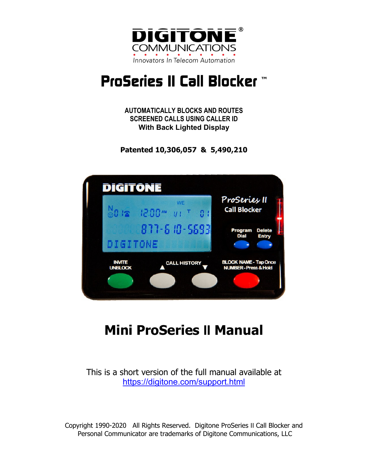

# **ProSeries II Call Blocker ™**

**AUTOMATICALLY BLOCKS AND ROUTES SCREENED CALLS USING CALLER ID With Back Lighted Display** 

**Patented 10,306,057 & 5,490,210** 



# **Mini ProSeries II Manual**

This is a short version of the full manual available at https://digitone.com/support.html

Copyright 1990-2020 All Rights Reserved. Digitone ProSeries II Call Blocker and Personal Communicator are trademarks of Digitone Communications, LLC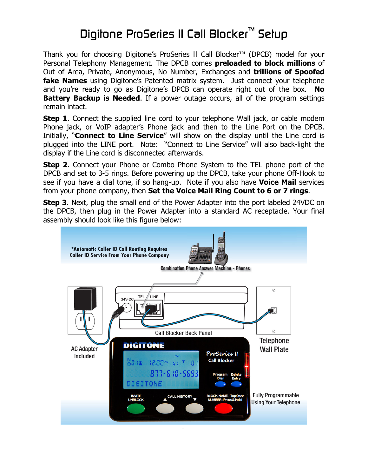# Digitone ProSeries II Call Blocker™ Setup

Thank you for choosing Digitone's ProSeries II Call Blocker™ (DPCB) model for your Personal Telephony Management. The DPCB comes **preloaded to block millions** of Out of Area, Private, Anonymous, No Number, Exchanges and **trillions of Spoofed fake Names** using Digitone's Patented matrix system. Just connect your telephone and you're ready to go as Digitone's DPCB can operate right out of the box. **No Battery Backup is Needed.** If a power outage occurs, all of the program settings remain intact.

**Step 1.** Connect the supplied line cord to your telephone Wall jack, or cable modem Phone jack, or VoIP adapter's Phone jack and then to the Line Port on the DPCB. Initially, "**Connect to Line Service**" will show on the display until the Line cord is plugged into the LINE port. Note: "Connect to Line Service" will also back-light the display if the Line cord is disconnected afterwards.

**Step 2**. Connect your Phone or Combo Phone System to the TEL phone port of the DPCB and set to 3-5 rings. Before powering up the DPCB, take your phone Off-Hook to see if you have a dial tone, if so hang-up. Note if you also have **Voice Mail** services from your phone company, then **Set the Voice Mail Ring Count to 6 or 7 rings**.

**Step 3**. Next, plug the small end of the Power Adapter into the port labeled 24VDC on the DPCB, then plug in the Power Adapter into a standard AC receptacle. Your final assembly should look like this figure below:

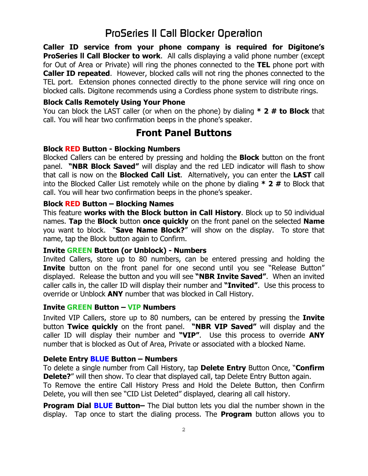# ProSeries II Call Blocker Operation

**Caller ID service from your phone company is required for Digitone's ProSeries II Call Blocker to work**. All calls displaying a valid phone number (except for Out of Area or Private) will ring the phones connected to the **TEL** phone port with **Caller ID repeated.** However, blocked calls will not ring the phones connected to the TEL port. Extension phones connected directly to the phone service will ring once on blocked calls. Digitone recommends using a Cordless phone system to distribute rings.

#### **Block Calls Remotely Using Your Phone**

You can block the LAST caller (or when on the phone) by dialing **\* 2 # to Block** that call. You will hear two confirmation beeps in the phone's speaker.

## **Front Panel Buttons**

#### **Block RED Button - Blocking Numbers**

Blocked Callers can be entered by pressing and holding the **Block** button on the front panel. **"NBR Block Saved"** will display and the red LED indicator will flash to show that call is now on the **Blocked Call List**. Alternatively, you can enter the **LAST** call into the Blocked Caller List remotely while on the phone by dialing **\* 2 #** to Block that call. You will hear two confirmation beeps in the phone's speaker.

#### **Block RED Button – Blocking Names**

This feature **works with the Block button in Call History**. Block up to 50 individual names. **Tap** the **Block** button **once quickly** on the front panel on the selected **Name** you want to block. "**Save Name Block?**" will show on the display. To store that name, tap the Block button again to Confirm.

#### **Invite GREEN Button (or Unblock) - Numbers**

Invited Callers, store up to 80 numbers, can be entered pressing and holding the **Invite** button on the front panel for one second until you see "Release Button" displayed. Release the button and you will see **"NBR Invite Saved"**. When an invited caller calls in, the caller ID will display their number and **"Invited"**. Use this process to override or Unblock **ANY** number that was blocked in Call History.

#### **Invite GREEN Button – VIP Numbers**

Invited VIP Callers, store up to 80 numbers, can be entered by pressing the **Invite** button **Twice quickly** on the front panel. **"NBR VIP Saved"** will display and the caller ID will display their number and **"VIP"**. Use this process to override **ANY** number that is blocked as Out of Area, Private or associated with a blocked Name.

#### **Delete Entry BLUE Button – Numbers**

To delete a single number from Call History, tap **Delete Entry** Button Once, "**Confirm Delete?**" will then show. To clear that displayed call, tap Delete Entry Button again. To Remove the entire Call History Press and Hold the Delete Button, then Confirm Delete, you will then see "CID List Deleted" displayed, clearing all call history.

**Program Dial BLUE Button–** The Dial button lets you dial the number shown in the display. Tap once to start the dialing process. The **Program** button allows you to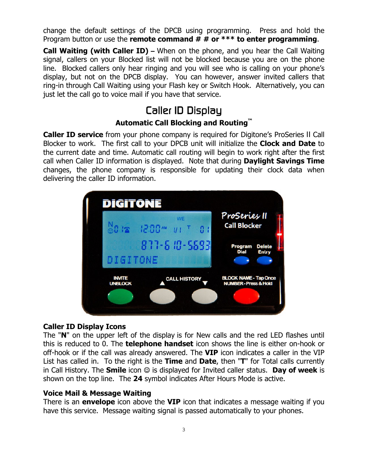change the default settings of the DPCB using programming. Press and hold the Program button or use the **remote command # # or \*\*\* to enter programming**.

**Call Waiting (with Caller ID) –** When on the phone, and you hear the Call Waiting signal, callers on your Blocked list will not be blocked because you are on the phone line. Blocked callers only hear ringing and you will see who is calling on your phone's display, but not on the DPCB display. You can however, answer invited callers that ring-in through Call Waiting using your Flash key or Switch Hook. Alternatively, you can just let the call go to voice mail if you have that service.

# Caller ID Display

#### **Automatic Call Blocking and Routing™**

**Caller ID service** from your phone company is required for Digitone's ProSeries II Call Blocker to work. The first call to your DPCB unit will initialize the **Clock and Date** to the current date and time. Automatic call routing will begin to work right after the first call when Caller ID information is displayed. Note that during **Daylight Savings Time** changes, the phone company is responsible for updating their clock data when delivering the caller ID information.



#### **Caller ID Display Icons**

The "**N**" on the upper left of the display is for New calls and the red LED flashes until this is reduced to 0. The **telephone handset** icon shows the line is either on-hook or off-hook or if the call was already answered. The **VIP** icon indicates a caller in the VIP List has called in. To the right is the **Time** and **Date**, then "**T**" for Total calls currently in Call History. The **Smile** icon ☺ is displayed for Invited caller status. **Day of week** is shown on the top line. The **24** symbol indicates After Hours Mode is active.

#### **Voice Mail & Message Waiting**

There is an **envelope** icon above the **VIP** icon that indicates a message waiting if you have this service. Message waiting signal is passed automatically to your phones.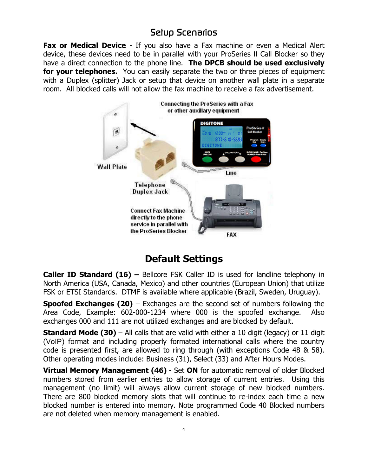# Setup Scenarios

**Fax or Medical Device** - If you also have a Fax machine or even a Medical Alert device, these devices need to be in parallel with your ProSeries II Call Blocker so they have a direct connection to the phone line. **The DPCB should be used exclusively for your telephones.** You can easily separate the two or three pieces of equipment with a Duplex (splitter) Jack or setup that device on another wall plate in a separate room. All blocked calls will not allow the fax machine to receive a fax advertisement.



# **Default Settings**

**Caller ID Standard (16) –** Bellcore FSK Caller ID is used for landline telephony in North America (USA, Canada, Mexico) and other countries (European Union) that utilize FSK or ETSI Standards. DTMF is available where applicable (Brazil, Sweden, Uruguay).

**Spoofed Exchanges (20)** – Exchanges are the second set of numbers following the Area Code, Example: 602-000-1234 where 000 is the spoofed exchange. Also exchanges 000 and 111 are not utilized exchanges and are blocked by default.

**Standard Mode (30)** – All calls that are valid with either a 10 digit (legacy) or 11 digit (VoIP) format and including properly formated international calls where the country code is presented first, are allowed to ring through (with exceptions Code 48 & 58). Other operating modes include: Business (31), Select (33) and After Hours Modes.

**Virtual Memory Management (46)** - Set **ON** for automatic removal of older Blocked numbers stored from earlier entries to allow storage of current entries. Using this management (no limit) will always allow current storage of new blocked numbers. There are 800 blocked memory slots that will continue to re-index each time a new blocked number is entered into memory. Note programmed Code 40 Blocked numbers are not deleted when memory management is enabled.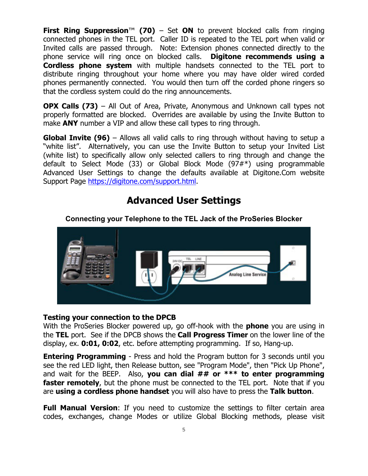**First Ring Suppression**™ **(70)** – Set **ON** to prevent blocked calls from ringing connected phones in the TEL port. Caller ID is repeated to the TEL port when valid or Invited calls are passed through. Note: Extension phones connected directly to the phone service will ring once on blocked calls. **Digitone recommends using a Cordless phone system** with multiple handsets connected to the TEL port to distribute ringing throughout your home where you may have older wired corded phones permanently connected. You would then turn off the corded phone ringers so that the cordless system could do the ring announcements.

**OPX Calls (73)** – All Out of Area, Private, Anonymous and Unknown call types not properly formatted are blocked. Overrides are available by using the Invite Button to make **ANY** number a VIP and allow these call types to ring through.

**Global Invite (96)** – Allows all valid calls to ring through without having to setup a "white list". Alternatively, you can use the Invite Button to setup your Invited List (white list) to specifically allow only selected callers to ring through and change the default to Select Mode (33) or Global Block Mode (97#\*) using programmable Advanced User Settings to change the defaults available at Digitone.Com website Support Page https://digitone.com/support.html.

# **Advanced User Settings**

**Connecting your Telephone to the TEL Jack of the ProSeries Blocker** 



#### **Testing your connection to the DPCB**

With the ProSeries Blocker powered up, go off-hook with the **phone** you are using in the **TEL** port. See if the DPCB shows the **Call Progress Timer** on the lower line of the display, ex. **0:01, 0:02**, etc. before attempting programming. If so, Hang-up.

**Entering Programming** - Press and hold the Program button for 3 seconds until you see the red LED light, then Release button, see "Program Mode", then "Pick Up Phone", and wait for the BEEP. Also, **you can dial ## or \*\*\* to enter programming faster remotely**, but the phone must be connected to the TEL port. Note that if you are **using a cordless phone handset** you will also have to press the **Talk button**.

**Full Manual Version:** If you need to customize the settings to filter certain area codes, exchanges, change Modes or utilize Global Blocking methods, please visit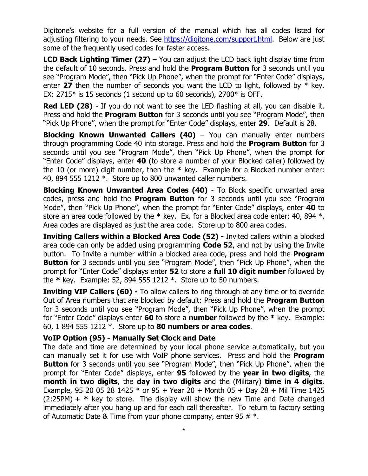Digitone's website for a full version of the manual which has all codes listed for adjusting filtering to your needs. See https://digitone.com/support.html. Below are just some of the frequently used codes for faster access.

**LCD Back Lighting Timer (27)** – You can adjust the LCD back light display time from the default of 10 seconds. Press and hold the **Program Button** for 3 seconds until you see "Program Mode", then "Pick Up Phone", when the prompt for "Enter Code" displays, enter **27** then the number of seconds you want the LCD to light, followed by \* key. EX:  $2715*$  is 15 seconds (1 second up to 60 seconds),  $2700*$  is OFF.

**Red LED (28)** - If you do not want to see the LED flashing at all, you can disable it. Press and hold the **Program Button** for 3 seconds until you see "Program Mode", then "Pick Up Phone", when the prompt for "Enter Code" displays, enter **29**. Default is 28.

**Blocking Known Unwanted Callers (40)** – You can manually enter numbers through programming Code 40 into storage. Press and hold the **Program Button** for 3 seconds until you see "Program Mode", then "Pick Up Phone", when the prompt for "Enter Code" displays, enter **40** (to store a number of your Blocked caller) followed by the 10 (or more) digit number, then the **\*** key. Example for a Blocked number enter: 40, 894 555 1212 \*. Store up to 800 unwanted caller numbers.

**Blocking Known Unwanted Area Codes (40)** - To Block specific unwanted area codes, press and hold the **Program Button** for 3 seconds until you see "Program Mode", then "Pick Up Phone", when the prompt for "Enter Code" displays, enter **40** to store an area code followed by the **\*** key. Ex. for a Blocked area code enter: 40, 894 \*. Area codes are displayed as just the area code. Store up to 800 area codes.

**Inviting Callers within a Blocked Area Code (52) - Invited callers within a blocked** area code can only be added using programming **Code 52**, and not by using the Invite button. To Invite a number within a blocked area code, press and hold the **Program Button** for 3 seconds until you see "Program Mode", then "Pick Up Phone", when the prompt for "Enter Code" displays enter **52** to store a **full 10 digit number** followed by the **\*** key. Example: 52, 894 555 1212 \*. Store up to 50 numbers.

**Inviting VIP Callers (60) -** To allow callers to ring through at any time or to override Out of Area numbers that are blocked by default: Press and hold the **Program Button** for 3 seconds until you see "Program Mode", then "Pick Up Phone", when the prompt for "Enter Code" displays enter **60** to store a **number** followed by the **\*** key. Example: 60, 1 894 555 1212 \*. Store up to **80 numbers or area codes**.

#### **VoIP Option (95) - Manually Set Clock and Date**

The date and time are determined by your local phone service automatically, but you can manually set it for use with VoIP phone services. Press and hold the **Program Button** for 3 seconds until you see "Program Mode", then "Pick Up Phone", when the prompt for "Enter Code" displays, enter **95** followed by the **year in two digits**, the **month in two digits**, the **day in two digits** and the (Military) **time in 4 digits**. Example, 95 20 05 28 1425  $*$  or 95 + Year 20 + Month 05 + Day 28 + Mil Time 1425 (2:25PM) + **\*** key to store. The display will show the new Time and Date changed immediately after you hang up and for each call thereafter. To return to factory setting of Automatic Date & Time from your phone company, enter 95  $#$  \*.